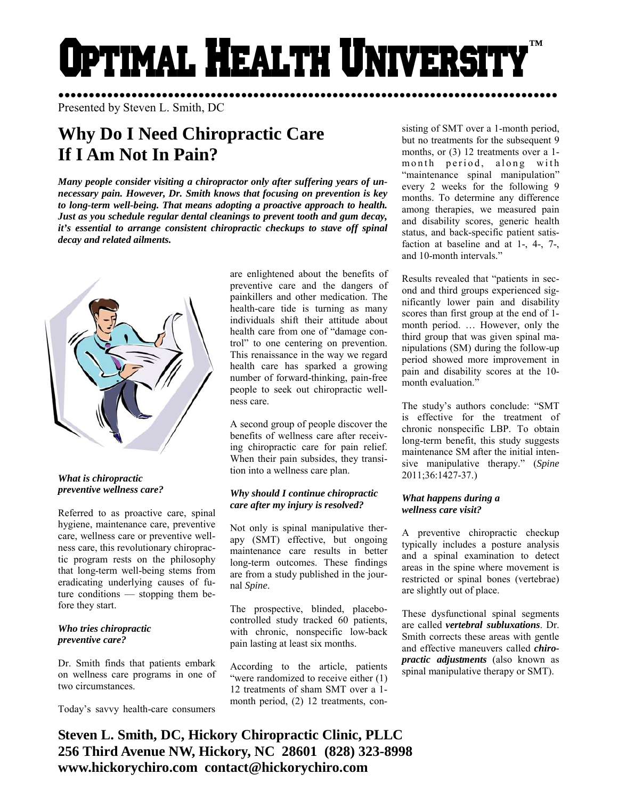# Optimal Health Universit **™**

●●●●●●●●●●●●●●●●●●●●●●●●●●●●●●●●●●●●●●●●●●●●●●●●●●●●●●●●●●●●●●●●●●●●●●●●●●●●●●●●●● Presented by Steven L. Smith, DC

# **Why Do I Need Chiropractic Care If I Am Not In Pain?**

*Many people consider visiting a chiropractor only after suffering years of unnecessary pain. However, Dr. Smith knows that focusing on prevention is key to long-term well-being. That means adopting a proactive approach to health. Just as you schedule regular dental cleanings to prevent tooth and gum decay, it's essential to arrange consistent chiropractic checkups to stave off spinal decay and related ailments.* 



#### *What is chiropractic preventive wellness care?*

Referred to as proactive care, spinal hygiene, maintenance care, preventive care, wellness care or preventive wellness care, this revolutionary chiropractic program rests on the philosophy that long-term well-being stems from eradicating underlying causes of future conditions — stopping them before they start.

# *Who tries chiropractic preventive care?*

Dr. Smith finds that patients embark on wellness care programs in one of two circumstances.

Today's savvy health-care consumers

are enlightened about the benefits of preventive care and the dangers of painkillers and other medication. The health-care tide is turning as many individuals shift their attitude about health care from one of "damage control" to one centering on prevention. This renaissance in the way we regard health care has sparked a growing number of forward-thinking, pain-free people to seek out chiropractic wellness care.

A second group of people discover the benefits of wellness care after receiving chiropractic care for pain relief. When their pain subsides, they transition into a wellness care plan.

# *Why should I continue chiropractic care after my injury is resolved?*

Not only is spinal manipulative therapy (SMT) effective, but ongoing maintenance care results in better long-term outcomes. These findings are from a study published in the journal *Spine*.

The prospective, blinded, placebocontrolled study tracked 60 patients, with chronic, nonspecific low-back pain lasting at least six months.

According to the article, patients "were randomized to receive either (1) 12 treatments of sham SMT over a 1 month period, (2) 12 treatments, consisting of SMT over a 1-month period, but no treatments for the subsequent 9 months, or  $(3)$  12 treatments over a 1m on th period, along with "maintenance spinal manipulation" every 2 weeks for the following 9 months. To determine any difference among therapies, we measured pain and disability scores, generic health status, and back-specific patient satisfaction at baseline and at 1-, 4-, 7-, and 10-month intervals."

Results revealed that "patients in second and third groups experienced significantly lower pain and disability scores than first group at the end of 1 month period. … However, only the third group that was given spinal manipulations (SM) during the follow-up period showed more improvement in pain and disability scores at the 10 month evaluation."

The study's authors conclude: "SMT is effective for the treatment of chronic nonspecific LBP. To obtain long-term benefit, this study suggests maintenance SM after the initial intensive manipulative therapy." (*Spine* 2011;36:1427-37.)

# *What happens during a wellness care visit?*

A preventive chiropractic checkup typically includes a posture analysis and a spinal examination to detect areas in the spine where movement is restricted or spinal bones (vertebrae) are slightly out of place.

These dysfunctional spinal segments are called *vertebral subluxations*. Dr. Smith corrects these areas with gentle and effective maneuvers called *chiropractic adjustments* (also known as spinal manipulative therapy or SMT).

**Steven L. Smith, DC, Hickory Chiropractic Clinic, PLLC 256 Third Avenue NW, Hickory, NC 28601 (828) 323-8998 www.hickorychiro.com contact@hickorychiro.com**